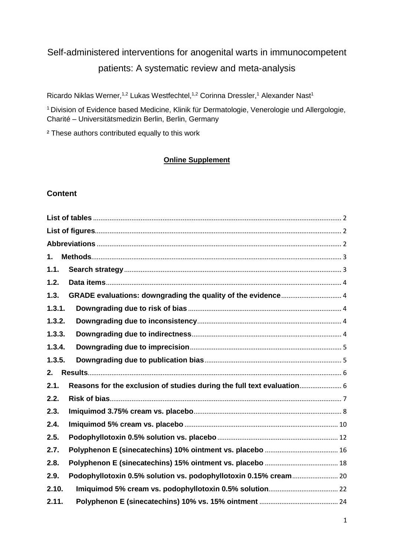# Self-administered interventions for anogenital warts in immunocompetent patients: A systematic review and meta-analysis

Ricardo Niklas Werner,<sup>1,2</sup> Lukas Westfechtel,<sup>1,2</sup> Corinna Dressler,<sup>1</sup> Alexander Nast<sup>1</sup>

<sup>1</sup> Division of Evidence based Medicine, Klinik für Dermatologie, Venerologie und Allergologie, Charité – Universitätsmedizin Berlin, Berlin, Germany

² These authors contributed equally to this work

### **Online Supplement**

## **Content**

| 1.                                                                             |  |
|--------------------------------------------------------------------------------|--|
| 1.1.                                                                           |  |
| 1.2.                                                                           |  |
| 1.3.                                                                           |  |
| 1.3.1.                                                                         |  |
| 1.3.2.                                                                         |  |
| 1.3.3.                                                                         |  |
| 1.3.4.                                                                         |  |
| 1.3.5.                                                                         |  |
| 2.                                                                             |  |
| Reasons for the exclusion of studies during the full text evaluation 6<br>2.1. |  |
| 2.2.                                                                           |  |
| 2.3.                                                                           |  |
| 2.4.                                                                           |  |
| 2.5.                                                                           |  |
| 2.7.                                                                           |  |
| 2.8.                                                                           |  |
| 2.9.                                                                           |  |
| 2.10.                                                                          |  |
| 2.11.                                                                          |  |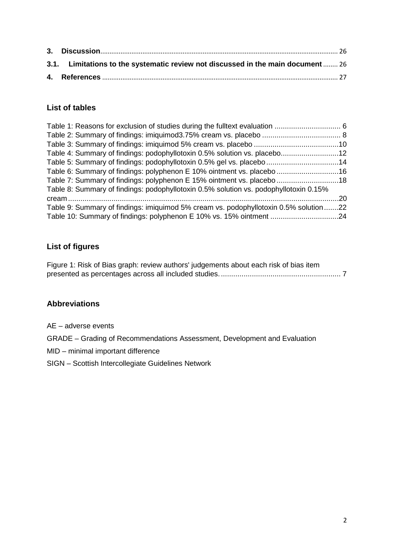| 3.1. Limitations to the systematic review not discussed in the main document  26 |  |
|----------------------------------------------------------------------------------|--|
|                                                                                  |  |

## <span id="page-1-0"></span>**List of tables**

| Table 4: Summary of findings: podophyllotoxin 0.5% solution vs. placebo12             |  |
|---------------------------------------------------------------------------------------|--|
| Table 5: Summary of findings: podophyllotoxin 0.5% gel vs. placebo 14                 |  |
| Table 6: Summary of findings: polyphenon E 10% ointment vs. placebo 16                |  |
| Table 7: Summary of findings: polyphenon E 15% ointment vs. placebo 18                |  |
| Table 8: Summary of findings: podophyllotoxin 0.5% solution vs. podophyllotoxin 0.15% |  |
|                                                                                       |  |
| Table 9: Summary of findings: imiquimod 5% cream vs. podophyllotoxin 0.5% solution22  |  |
| Table 10: Summary of findings: polyphenon E 10% vs. 15% ointment 24                   |  |

## <span id="page-1-1"></span>**List of figures**

| Figure 1: Risk of Bias graph: review authors' judgements about each risk of bias item |  |
|---------------------------------------------------------------------------------------|--|
|                                                                                       |  |

## <span id="page-1-2"></span>**Abbreviations**

AE – adverse events

GRADE – Grading of Recommendations Assessment, Development and Evaluation

MID – minimal important difference

SIGN – Scottish Intercollegiate Guidelines Network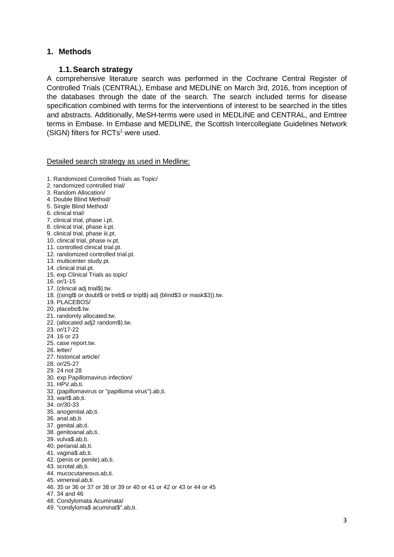### <span id="page-2-1"></span><span id="page-2-0"></span>**1. Methods**

### **1.1.Search strategy**

A comprehensive literature search was performed in the Cochrane Central Register of Controlled Trials (CENTRAL), Embase and MEDLINE on March 3rd, 2016, from inception of the databases through the date of the search. The search included terms for disease specification combined with terms for the interventions of interest to be searched in the titles and abstracts. Additionally, MeSH-terms were used in MEDLINE and CENTRAL, and Emtree terms in Embase. In Embase and MEDLINE, the Scottish Intercollegiate Guidelines Network (SIGN) filters for RCTs<sup>1</sup> were used.

Detailed search strategy as used in Medline:

- 1. Randomized Controlled Trials as Topic/
- 2. randomized controlled trial/
- 3. Random Allocation/
- 4. Double Blind Method/
- 5. Single Blind Method/
- 6. clinical trial/
- 7. clinical trial, phase i.pt.
- 8. clinical trial, phase ii.pt.
- 9. clinical trial, phase iii.pt.
- 10. clinical trial, phase iv.pt.
- 11. controlled clinical trial.pt.
- 12. randomized controlled trial.pt.
- 13. multicenter study.pt.
- 14. clinical trial.pt.
- 15. exp Clinical Trials as topic/
- 16. or/1-15
- 17. (clinical adj trial\$).tw.
- 18. ((singl\$ or doubl\$ or treb\$ or tripl\$) adj (blind\$3 or mask\$3)).tw.
- 19. PLACEBOS/
- 20. placebo\$.tw.
- 21. randomly allocated.tw.
- 22. (allocated adj2 random\$).tw.
- 23. or/17-22
- 24. 16 or 23
- 25. case report.tw.
- 26. letter/
- 27. historical article/
- 28. or/25-27
- 29. 24 not 28
- 30. exp Papillomavirus infection/
- 31. HPV.ab,ti.
- 32. (papillomavirus or "papilloma virus").ab,ti.
- 33. wart\$.ab,ti.
- 34. or/30-33
- 35. anogenital.ab,ti.
- 36. anal.ab,ti.
- 37. genital.ab,ti.
- 38. genitoanal.ab,ti.
- 39. vulva\$.ab,ti.
- 40. perianal.ab,ti.
- 41. vagina\$.ab,ti.
- 42. (penis or penile).ab,ti.
- 43. scrotal.ab,ti.
- 44. mucocutaneous.ab,ti.
- 45. venereal.ab,ti.
- 46. 35 or 36 or 37 or 38 or 39 or 40 or 41 or 42 or 43 or 44 or 45
- 47. 34 and 46
- 48. Condylomata Acuminata/
- 49. "condyloma\$ acuminat\$".ab,ti.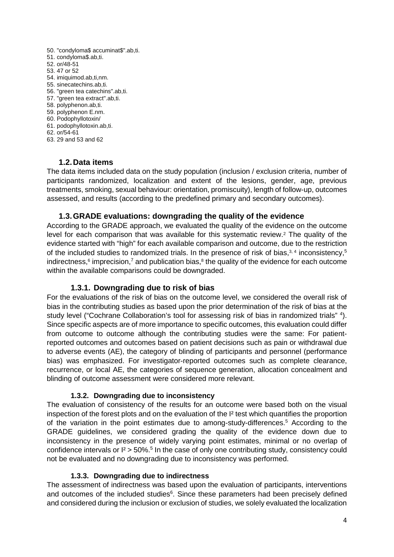- 50. "condyloma\$ accuminat\$".ab,ti.
- 51. condyloma\$.ab,ti.
- 52. or/48-51
- 53. 47 or 52
- 54. imiquimod.ab,ti,nm.
- 55. sinecatechins.ab,ti.
- 56. "green tea catechins".ab,ti.
- 57. "green tea extract".ab,ti.
- 58. polyphenon.ab,ti.
- 59. polyphenon E.nm.
- 60. Podophyllotoxin/
- 61. podophyllotoxin.ab,ti.
- 62. or/54-61
- <span id="page-3-0"></span>63. 29 and 53 and 62

### **1.2.Data items**

The data items included data on the study population (inclusion / exclusion criteria, number of participants randomized, localization and extent of the lesions, gender, age, previous treatments, smoking, sexual behaviour: orientation, promiscuity), length of follow-up, outcomes assessed, and results (according to the predefined primary and secondary outcomes).

### **1.3.GRADE evaluations: downgrading the quality of the evidence**

<span id="page-3-1"></span>According to the GRADE approach, we evaluated the quality of the evidence on the outcome level for each comparison that was available for this systematic review.2 The quality of the evidence started with "high" for each available comparison and outcome, due to the restriction of the included studies to randomized trials. In the presence of risk of bias, $3, 4$  inconsistency,  $5$ indirectness,<sup>6</sup> imprecision,<sup>7</sup> and publication bias,<sup>8</sup> the quality of the evidence for each outcome within the available comparisons could be downgraded.

### **1.3.1. Downgrading due to risk of bias**

<span id="page-3-2"></span>For the evaluations of the risk of bias on the outcome level, we considered the overall risk of bias in the contributing studies as based upon the prior determination of the risk of bias at the study level ("Cochrane Collaboration's tool for assessing risk of bias in randomized trials" 4). Since specific aspects are of more importance to specific outcomes, this evaluation could differ from outcome to outcome although the contributing studies were the same: For patientreported outcomes and outcomes based on patient decisions such as pain or withdrawal due to adverse events (AE), the category of blinding of participants and personnel (performance bias) was emphasized. For investigator-reported outcomes such as complete clearance, recurrence, or local AE, the categories of sequence generation, allocation concealment and blinding of outcome assessment were considered more relevant.

### **1.3.2. Downgrading due to inconsistency**

<span id="page-3-3"></span>The evaluation of consistency of the results for an outcome were based both on the visual inspection of the forest plots and on the evaluation of the I² test which quantifies the proportion of the variation in the point estimates due to among-study-differences. <sup>5</sup> According to the GRADE guidelines, we considered grading the quality of the evidence down due to inconsistency in the presence of widely varying point estimates, minimal or no overlap of confidence intervals or  $I<sup>2</sup>$  > 50%.<sup>5</sup> In the case of only one contributing study, consistency could not be evaluated and no downgrading due to inconsistency was performed.

### **1.3.3. Downgrading due to indirectness**

<span id="page-3-4"></span>The assessment of indirectness was based upon the evaluation of participants, interventions and outcomes of the included studies<sup>6</sup>. Since these parameters had been precisely defined and considered during the inclusion or exclusion of studies, we solely evaluated the localization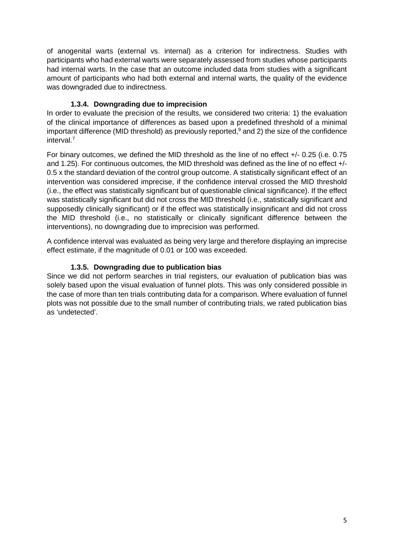of anogenital warts (external vs. internal) as a criterion for indirectness. Studies with participants who had external warts were separately assessed from studies whose participants had internal warts. In the case that an outcome included data from studies with a significant amount of participants who had both external and internal warts, the quality of the evidence was downgraded due to indirectness.

### **1.3.4. Downgrading due to imprecision**

<span id="page-4-0"></span>In order to evaluate the precision of the results, we considered two criteria: 1) the evaluation of the clinical importance of differences as based upon a predefined threshold of a minimal important difference (MID threshold) as previously reported, <sup>9</sup> and 2) the size of the confidence interval. 7

For binary outcomes, we defined the MID threshold as the line of no effect +/- 0.25 (i.e. 0.75 and 1.25). For continuous outcomes, the MID threshold was defined as the line of no effect +/- 0.5 x the standard deviation of the control group outcome. A statistically significant effect of an intervention was considered imprecise, if the confidence interval crossed the MID threshold (i.e., the effect was statistically significant but of questionable clinical significance). If the effect was statistically significant but did not cross the MID threshold (i.e., statistically significant and supposedly clinically significant) or if the effect was statistically insignificant and did not cross the MID threshold (i.e., no statistically or clinically significant difference between the interventions), no downgrading due to imprecision was performed.

A confidence interval was evaluated as being very large and therefore displaying an imprecise effect estimate, if the magnitude of 0.01 or 100 was exceeded.

## **1.3.5. Downgrading due to publication bias**

<span id="page-4-1"></span>Since we did not perform searches in trial registers, our evaluation of publication bias was solely based upon the visual evaluation of funnel plots. This was only considered possible in the case of more than ten trials contributing data for a comparison. Where evaluation of funnel plots was not possible due to the small number of contributing trials, we rated publication bias as 'undetected'.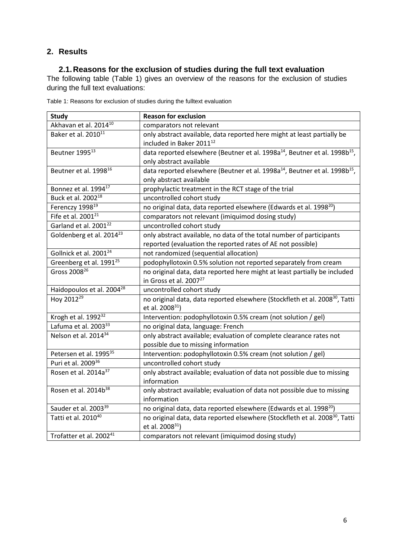## <span id="page-5-1"></span><span id="page-5-0"></span>**2. Results**

## **2.1.Reasons for the exclusion of studies during the full text evaluation**

The following table [\(Table 1\)](#page-5-2) gives an overview of the reasons for the exclusion of studies during the full text evaluations:

| <b>Study</b>                          | <b>Reason for exclusion</b>                                                                        |
|---------------------------------------|----------------------------------------------------------------------------------------------------|
| Akhavan et al. 2014 <sup>10</sup>     | comparators not relevant                                                                           |
| Baker et al. 2010 <sup>11</sup>       | only abstract available, data reported here might at least partially be                            |
|                                       | included in Baker 2011 <sup>12</sup>                                                               |
| Beutner 1995 <sup>13</sup>            | data reported elsewhere (Beutner et al. 1998a <sup>14</sup> , Beutner et al. 1998b <sup>15</sup> , |
|                                       | only abstract available                                                                            |
| Beutner et al. 1998 <sup>16</sup>     | data reported elsewhere (Beutner et al. 1998a <sup>14</sup> , Beutner et al. 1998b <sup>15</sup> , |
|                                       | only abstract available                                                                            |
| Bonnez et al. 1994 <sup>17</sup>      | prophylactic treatment in the RCT stage of the trial                                               |
| Buck et al. 2002 <sup>18</sup>        | uncontrolled cohort study                                                                          |
| Ferenczy 1998 <sup>19</sup>           | no original data, data reported elsewhere (Edwards et al. 1998 <sup>20</sup> )                     |
| Fife et al. $2001^{21}$               | comparators not relevant (imiquimod dosing study)                                                  |
| Garland et al. 2001 <sup>22</sup>     | uncontrolled cohort study                                                                          |
| Goldenberg et al. 2014 <sup>23</sup>  | only abstract available, no data of the total number of participants                               |
|                                       | reported (evaluation the reported rates of AE not possible)                                        |
| Gollnick et al. 2001 <sup>24</sup>    | not randomized (sequential allocation)                                                             |
| Greenberg et al. 1991 <sup>25</sup>   | podophyllotoxin 0.5% solution not reported separately from cream                                   |
| Gross 2008 <sup>26</sup>              | no original data, data reported here might at least partially be included                          |
|                                       | in Gross et al. 2007 <sup>27</sup>                                                                 |
| Haidopoulos et al. 2004 <sup>28</sup> | uncontrolled cohort study                                                                          |
| Hoy 2012 <sup>29</sup>                | no original data, data reported elsewhere (Stockfleth et al. 2008 <sup>30</sup> , Tatti            |
|                                       | et al. 2008 <sup>31</sup> )                                                                        |
| Krogh et al. 1992 <sup>32</sup>       | Intervention: podophyllotoxin 0.5% cream (not solution / gel)                                      |
| Lafuma et al. 2003 <sup>33</sup>      | no original data, language: French                                                                 |
| Nelson et al. 2014 <sup>34</sup>      | only abstract available; evaluation of complete clearance rates not                                |
|                                       | possible due to missing information                                                                |
| Petersen et al. 1995 <sup>35</sup>    | Intervention: podophyllotoxin 0.5% cream (not solution / gel)                                      |
| Puri et al. 2009 <sup>36</sup>        | uncontrolled cohort study                                                                          |
| Rosen et al. 2014a <sup>37</sup>      | only abstract available; evaluation of data not possible due to missing                            |
|                                       | information                                                                                        |
| Rosen et al. 2014b <sup>38</sup>      | only abstract available; evaluation of data not possible due to missing                            |
|                                       | information                                                                                        |
| Sauder et al. 2003 <sup>39</sup>      | no original data, data reported elsewhere (Edwards et al. 1998 <sup>20</sup> )                     |
| Tatti et al. 2010 <sup>40</sup>       | no original data, data reported elsewhere (Stockfleth et al. 2008 <sup>30</sup> , Tatti            |
|                                       | et al. 2008 <sup>31</sup> )                                                                        |
| Trofatter et al. 2002 <sup>41</sup>   | comparators not relevant (imiquimod dosing study)                                                  |

<span id="page-5-2"></span>Table 1: Reasons for exclusion of studies during the fulltext evaluation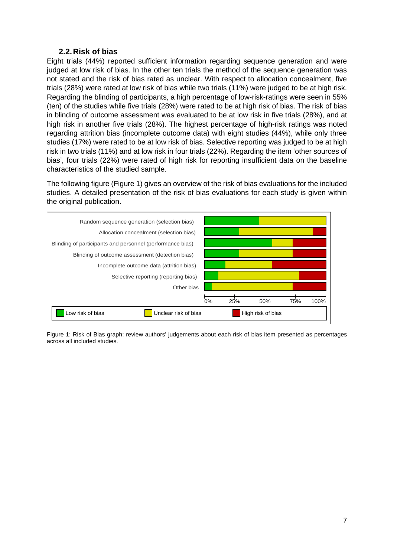## **2.2.Risk of bias**

<span id="page-6-0"></span>Eight trials (44%) reported sufficient information regarding sequence generation and were judged at low risk of bias. In the other ten trials the method of the sequence generation was not stated and the risk of bias rated as unclear. With respect to allocation concealment, five trials (28%) were rated at low risk of bias while two trials (11%) were judged to be at high risk. Regarding the blinding of participants, a high percentage of low-risk-ratings were seen in 55% (ten) of the studies while five trials (28%) were rated to be at high risk of bias. The risk of bias in blinding of outcome assessment was evaluated to be at low risk in five trials (28%), and at high risk in another five trials (28%). The highest percentage of high-risk ratings was noted regarding attrition bias (incomplete outcome data) with eight studies (44%), while only three studies (17%) were rated to be at low risk of bias. Selective reporting was judged to be at high risk in two trials (11%) and at low risk in four trials (22%). Regarding the item 'other sources of bias', four trials (22%) were rated of high risk for reporting insufficient data on the baseline characteristics of the studied sample.

The following figure [\(Figure 1\)](#page-6-1) gives an overview of the risk of bias evaluations for the included studies. A detailed presentation of the risk of bias evaluations for each study is given within the original publication.



<span id="page-6-1"></span>Figure 1: Risk of Bias graph: review authors' judgements about each risk of bias item presented as percentages across all included studies.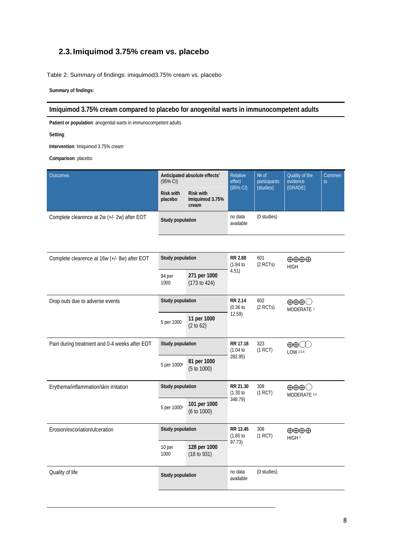## <span id="page-7-0"></span>**2.3.Imiquimod 3.75% cream vs. placebo**

<span id="page-7-1"></span>Table 2: Summary of findings: imiquimod3.75% cream vs. placebo

**Summary of findings:** 

### **Imiquimod 3.75% cream compared to placebo for anogenital warts in immunocompetent adults**

**Patient or population**: anogenital warts in immunocompetent adults

**Setting**:

**Intervention**: Imiquimod 3.75% cream

| <b>Outcomes</b>                             | $(95% \text{ Cl})$          | Anticipated absolute effects'                | Relative<br>effect   | $Ne$ of<br>participants<br>(studies) | Quality of the<br>evidence<br>(GRADE) | Commen<br>ts |
|---------------------------------------------|-----------------------------|----------------------------------------------|----------------------|--------------------------------------|---------------------------------------|--------------|
|                                             | <b>Risk with</b><br>placebo | <b>Risk with</b><br>Imiguimod 3.75%<br>cream | $(95% \text{ Cl})$   |                                      |                                       |              |
| Complete clearence at 2w (+/- 2w) after EOT | Study population            |                                              | no data<br>available | (0 studies)                          |                                       |              |

| <b>Study population</b><br>Complete clearence at 16w (+/- 8w) after EOT |                              | <b>RR 2.88</b><br>(1.84) | 601<br>$(2$ RCTs)                               | $\oplus \oplus \oplus$<br><b>HIGH</b>                    |  |
|-------------------------------------------------------------------------|------------------------------|--------------------------|-------------------------------------------------|----------------------------------------------------------|--|
| 94 per<br>1000                                                          | 271 per 1000<br>(173 to 424) |                          |                                                 |                                                          |  |
| <b>Study population</b><br>Drop outs due to adverse events              |                              | <b>RR 2.14</b><br>(0.36) | 602<br>$(2$ RCTs)                               | $\oplus \oplus \oplus \bigcirc$<br>MODERATE <sup>1</sup> |  |
| 5 per 1000                                                              | 11 per 1000<br>(2 to 62)     |                          |                                                 |                                                          |  |
| Study population                                                        |                              | RR 17.18<br>(1.04)       | 323<br>(1 RCT)                                  | ⊕⊕∭<br>LOW 2,3,4                                         |  |
| 5 per 1000 <sup>5</sup>                                                 | 81 per 1000<br>(5 to 1000)   |                          |                                                 |                                                          |  |
| <b>Study population</b>                                                 |                              | RR 21.30<br>(1.30)       | 308<br>(1 RCT)                                  | $\oplus \oplus \oplus \bigcirc$<br>MODERATE 2,4          |  |
| 5 per 1000 <sup>5</sup>                                                 | 101 per 1000<br>(6 to 1000)  |                          |                                                 |                                                          |  |
| Study population                                                        |                              | RR 13.45<br>(1.85)       | 308<br>(1 RCT)                                  | $\oplus \oplus \oplus$<br>HIGH <sub>2</sub>              |  |
| 10 per<br>1000                                                          | 128 per 1000<br>(18 to 931)  |                          |                                                 |                                                          |  |
|                                                                         |                              | no data<br>available     | (0 studies)                                     |                                                          |  |
|                                                                         |                              | Study population         | 4.51)<br>12.59)<br>282.95)<br>348.79)<br>97.73) |                                                          |  |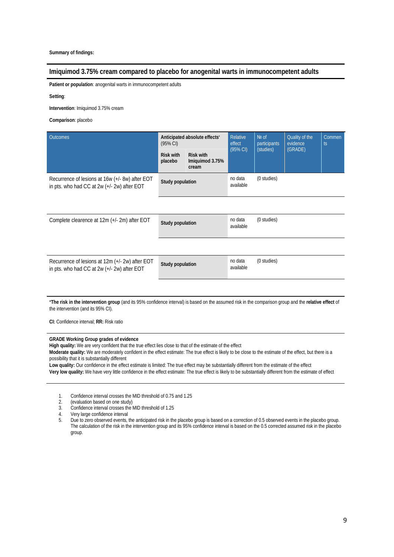### **Imiquimod 3.75% cream compared to placebo for anogenital warts in immunocompetent adults**

**Patient or population**: anogenital warts in immunocompetent adults

**Setting**:

**Intervention**: Imiquimod 3.75% cream

**Comparison**: placebo

| Anticipated absolute effects*<br><b>Outcomes</b><br>(95% CI)                                     |                             |                                              | Relative<br>effect   | Nº of<br>participants | Quality of the<br>evidence<br>(GRADE) | <b>Commen</b><br>ts |
|--------------------------------------------------------------------------------------------------|-----------------------------|----------------------------------------------|----------------------|-----------------------|---------------------------------------|---------------------|
|                                                                                                  | <b>Risk with</b><br>placebo | <b>Risk with</b><br>Imiquimod 3.75%<br>cream | (95% CI)             | (studies)             |                                       |                     |
| Recurrence of lesions at 16w (+/- 8w) after EOT<br>in pts. who had CC at 2w (+/- 2w) after EOT   | Study population            |                                              | no data<br>available | (0 studies)           |                                       |                     |
|                                                                                                  |                             |                                              |                      |                       |                                       |                     |
| Complete clearence at 12m (+/- 2m) after EOT                                                     | Study population            |                                              | no data<br>available | (0 studies)           |                                       |                     |
|                                                                                                  |                             |                                              |                      |                       |                                       |                     |
| Recurrence of lesions at 12m (+/- 2w) after EOT<br>in pts. who had CC at $2w (+/- 2w)$ after EOT | Study population            |                                              | no data<br>available | (0 studies)           |                                       |                     |
|                                                                                                  |                             |                                              |                      |                       |                                       |                     |

\***The risk in the intervention group** (and its 95% confidence interval) is based on the assumed risk in the comparison group and the **relative effect** of the intervention (and its 95% CI).

**CI:** Confidence interval; **RR:** Risk ratio

### **GRADE Working Group grades of evidence**

**High quality:** We are very confident that the true effect lies close to that of the estimate of the effect

**Moderate quality:** We are moderately confident in the effect estimate: The true effect is likely to be close to the estimate of the effect, but there is a possibility that it is substantially different

**Low quality:** Our confidence in the effect estimate is limited: The true effect may be substantially different from the estimate of the effect **Very low quality:** We have very little confidence in the effect estimate: The true effect is likely to be substantially different from the estimate of effect

- 1. Confidence interval crosses the MID threshold of 0.75 and 1.25
- 2. (evaluation based on one study)<br>3. Confidence interval crosses the
- Confidence interval crosses the MID threshold of 1.25
- 4. Very large confidence interval<br>5. Due to zero observed events.
- 5. Due to zero observed events, the anticipated risk in the placebo group is based on a correction of 0.5 observed events in the placebo group. The calculation of the risk in the intervention group and its 95% confidence interval is based on the 0.5 corrected assumed risk in the placebo group.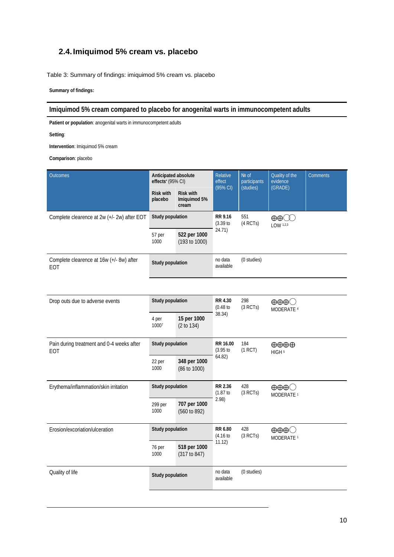## <span id="page-9-0"></span>**2.4.Imiquimod 5% cream vs. placebo**

<span id="page-9-1"></span>Table 3: Summary of findings: imiquimod 5% cream vs. placebo

**Summary of findings:** 

### **Imiquimod 5% cream compared to placebo for anogenital warts in immunocompetent adults**

**Patient or population**: anogenital warts in immunocompetent adults

**Setting**:

**Intervention**: Imiquimod 5% cream

| <b>Outcomes</b>                                  |                                                                    | Anticipated absolute<br>effects* (95% CI) |                               | Nº of<br>participants | Quality of the<br>evidence<br>(GRADE)                    | <b>Comments</b> |
|--------------------------------------------------|--------------------------------------------------------------------|-------------------------------------------|-------------------------------|-----------------------|----------------------------------------------------------|-----------------|
|                                                  | <b>Risk with</b><br>placebo                                        | <b>Risk with</b><br>Imiguimod 5%<br>cream | (95% CI)                      | (studies)             |                                                          |                 |
| Complete clearence at 2w (+/- 2w) after EOT      | Study population                                                   |                                           | <b>RR 9.16</b><br>$(3.39)$ to | 551<br>(4 RCTs)       | $LOW$ <sup>1,2,3</sup>                                   |                 |
|                                                  | 57 per<br>1000                                                     | 522 per 1000<br>(193 to 1000)             | 24.71)                        |                       |                                                          |                 |
| Complete clearence at 16w (+/- 8w) after<br>EOT  | Study population                                                   |                                           | no data<br>available          | (0 studies)           |                                                          |                 |
|                                                  |                                                                    |                                           |                               |                       |                                                          |                 |
| Drop outs due to adverse events                  | Study population                                                   |                                           | RR 4.30<br>(0.48)             | 298<br>(3 RCTs)       | $\oplus \oplus \oplus \bigcirc$<br>MODERATE <sup>4</sup> |                 |
|                                                  | 4 per<br>10007                                                     | 15 per 1000<br>(2 to 134)                 | 38.34)                        |                       |                                                          |                 |
| Pain during treatment and 0-4 weeks after<br>EOT | Study population                                                   |                                           | RR 16.00<br>(3.95)            | 184<br>(1 RCT)        | $\oplus \oplus \oplus$<br>HIGH <sup>5</sup>              |                 |
|                                                  | 22 per<br>1000                                                     | 348 per 1000<br>(86 to 1000)              | 64.82)                        |                       |                                                          |                 |
| Erythema/inflammation/skin irritation            | Study population                                                   |                                           | <b>RR 2.36</b><br>(1.87)      | 428<br>(3 RCTs)       | $\oplus \oplus \oplus \bigcirc$<br>MODERATE <sup>1</sup> |                 |
|                                                  | 299 per<br>1000                                                    | 707 per 1000<br>(560 to 892)              | 2.98)                         |                       |                                                          |                 |
| Erosion/excoriation/ulceration                   | Study population<br>518 per 1000<br>76 per<br>1000<br>(317 to 847) |                                           | RR 6.80<br>(4.16)             | 428<br>(3 RCTs)       | $\oplus \oplus \oplus \bigcirc$<br>MODERATE <sup>1</sup> |                 |
|                                                  |                                                                    |                                           | 11.12)                        |                       |                                                          |                 |
| Quality of life                                  | Study population                                                   |                                           | no data<br>available          | (0 studies)           |                                                          |                 |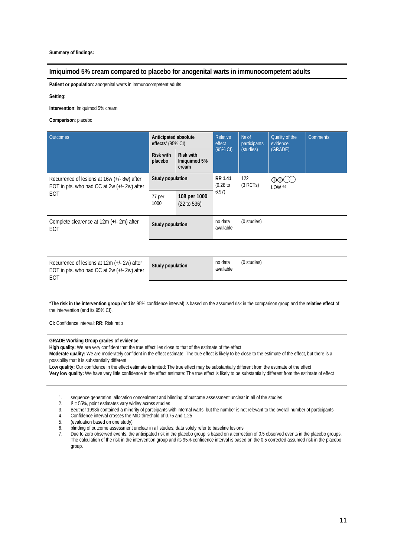### **Imiquimod 5% cream compared to placebo for anogenital warts in immunocompetent adults**

**Patient or population**: anogenital warts in immunocompetent adults

**Setting**:

**Intervention**: Imiquimod 5% cream

**Comparison**: placebo

| Anticipated absolute<br><b>Outcomes</b><br>effects' (95% CI)                                      |                             | Relative<br>effect<br>$(95% \text{ Cl})$  | Nº of<br>participants    | Quality of the<br>evidence | <b>Comments</b>                   |  |
|---------------------------------------------------------------------------------------------------|-----------------------------|-------------------------------------------|--------------------------|----------------------------|-----------------------------------|--|
|                                                                                                   | <b>Risk with</b><br>placebo | <b>Risk with</b><br>Imiguimod 5%<br>cream |                          | (studies)                  | (GRADE)                           |  |
| Recurrence of lesions at 16w (+/- 8w) after<br>EOT in pts. who had CC at 2w (+/- 2w) after        | Study population            |                                           | <b>RR 1.41</b><br>(0.28) | 122<br>(3 RCTs)            | $\oplus \oplus \infty$<br>LOW 4,6 |  |
| EOT                                                                                               | 77 per<br>1000              | 108 per 1000<br>(22 to 536)               | 6.97)                    |                            |                                   |  |
| Complete clearence at 12m (+/-2m) after<br>EOT                                                    | Study population            |                                           | no data<br>available     | (0 studies)                |                                   |  |
|                                                                                                   |                             |                                           |                          |                            |                                   |  |
| Recurrence of lesions at 12m (+/- 2w) after<br>EOT in pts. who had CC at 2w (+/- 2w) after<br>EOT | Study population            |                                           | no data<br>available     | (0 studies)                |                                   |  |
|                                                                                                   |                             |                                           |                          |                            |                                   |  |

\***The risk in the intervention group** (and its 95% confidence interval) is based on the assumed risk in the comparison group and the **relative effect** of the intervention (and its 95% CI).

**CI:** Confidence interval; **RR:** Risk ratio

#### **GRADE Working Group grades of evidence**

**High quality:** We are very confident that the true effect lies close to that of the estimate of the effect

**Moderate quality:** We are moderately confident in the effect estimate: The true effect is likely to be close to the estimate of the effect, but there is a possibility that it is substantially different

**Low quality:** Our confidence in the effect estimate is limited: The true effect may be substantially different from the estimate of the effect **Very low quality:** We have very little confidence in the effect estimate: The true effect is likely to be substantially different from the estimate of effect

- 1. sequence generation, allocation concealment and blinding of outcome assessment unclear in all of the studies  $\frac{1}{2} = 55\%$  point estimates vary widley across studies
- $1^2$  = 55%, point estimates vary widley across studies
- 3. Beutner 1998b contained a minority of participants with internal warts, but the number is not relevant to the overall number of participants
- 4. Confidence interval crosses the MID threshold of 0.75 and 1.25<br>5. (evaluation based on one study)
- 5. (evaluation based on one study)
- 6. blinding of outcome assessment unclear in all studies; data solely refer to baseline lesions

7. Due to zero observed events, the anticipated risk in the placebo group is based on a correction of 0.5 observed events in the placebo groups. The calculation of the risk in the intervention group and its 95% confidence interval is based on the 0.5 corrected assumed risk in the placebo group.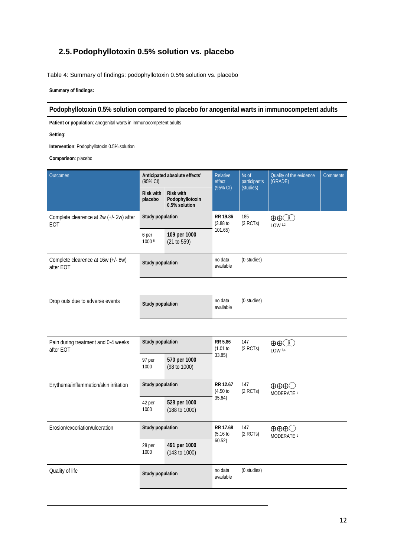## <span id="page-11-0"></span>**2.5.Podophyllotoxin 0.5% solution vs. placebo**

<span id="page-11-1"></span>Table 4: Summary of findings: podophyllotoxin 0.5% solution vs. placebo

**Summary of findings:** 

### **Podophyllotoxin 0.5% solution compared to placebo for anogenital warts in immunocompetent adults**

**Patient or population**: anogenital warts in immunocompetent adults

**Setting**:

**Intervention**: Podophyllotoxin 0.5% solution

| Outcomes                                         | Anticipated absolute effects*<br>(95% CI) |                                                                                         | Relative<br>effect<br>(95% CI) | Nº of<br>participants<br>(studies) | Quality of the evidence<br>(GRADE)                       | Comments |
|--------------------------------------------------|-------------------------------------------|-----------------------------------------------------------------------------------------|--------------------------------|------------------------------------|----------------------------------------------------------|----------|
|                                                  | <b>Risk with</b><br>placebo               | <b>Risk with</b><br>Podophyllotoxin<br>0.5% solution                                    |                                |                                    |                                                          |          |
| Complete clearence at 2w (+/- 2w) after<br>EOT   |                                           | <b>Study population</b><br>RR 19.86<br>(3.88)<br>101.65)<br>109 per 1000<br>(21 to 559) |                                | 185<br>(3 RCTs)                    | $LOW$ <sup>1,2</sup>                                     |          |
|                                                  | 6 per<br>1000 5                           |                                                                                         |                                |                                    |                                                          |          |
| Complete clearence at 16w (+/- 8w)<br>after EOT  | <b>Study population</b>                   |                                                                                         | no data<br>available           | (0 studies)                        |                                                          |          |
|                                                  |                                           |                                                                                         |                                |                                    |                                                          |          |
| Drop outs due to adverse events                  | <b>Study population</b>                   |                                                                                         | no data<br>available           | (0 studies)                        |                                                          |          |
|                                                  |                                           |                                                                                         |                                |                                    |                                                          |          |
| Pain during treatment and 0-4 weeks<br>after EOT | Study population                          |                                                                                         | RR 5.86<br>(1.01 to            | 147<br>$(2$ RCTs)                  | LOW <sup>3,4</sup>                                       |          |
|                                                  | 97 per<br>1000                            | 570 per 1000<br>(98 to 1000)                                                            | 33.85)                         |                                    |                                                          |          |
| Erythema/inflammation/skin irritation            | <b>Study population</b>                   |                                                                                         | RR 12.67<br>(4.50)             | 147<br>$(2$ RCTs)                  | $\oplus \oplus \oplus \bigcirc$<br>MODERATE <sup>1</sup> |          |
|                                                  | 42 per<br>1000                            | 528 per 1000<br>(188 to 1000)                                                           | 35.64)                         |                                    |                                                          |          |
| Erosion/excoriation/ulceration                   | <b>Study population</b>                   |                                                                                         | RR 17.68<br>(5.16)             | 147<br>$(2$ RCTs)                  | $\oplus \oplus \oplus \bigcirc$<br>MODERATE <sup>1</sup> |          |
| 491 per 1000<br>28 per<br>1000<br>(143 to 1000)  |                                           | 60.52)                                                                                  |                                |                                    |                                                          |          |
| Quality of life                                  | Study population                          |                                                                                         | no data<br>available           | (0 studies)                        |                                                          |          |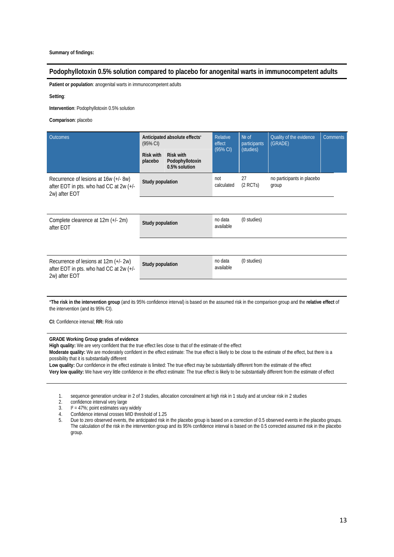### **Podophyllotoxin 0.5% solution compared to placebo for anogenital warts in immunocompetent adults**

**Patient or population**: anogenital warts in immunocompetent adults

**Setting**:

**Intervention**: Podophyllotoxin 0.5% solution

**Comparison**: placebo

| Anticipated absolute effects'<br>Outcomes<br>(95% CI)                                             |                             | Relative<br>effect                                   | Nº of<br>participants | Quality of the evidence<br>(GRADE) | <b>Comments</b>                     |  |
|---------------------------------------------------------------------------------------------------|-----------------------------|------------------------------------------------------|-----------------------|------------------------------------|-------------------------------------|--|
|                                                                                                   | <b>Risk with</b><br>placebo | <b>Risk with</b><br>Podophyllotoxin<br>0.5% solution | (95% CI)              | (studies)                          |                                     |  |
| Recurrence of lesions at 16w (+/- 8w)<br>after EOT in pts. who had CC at 2w (+/-<br>2w) after EOT | Study population            |                                                      | not<br>calculated     | 27<br>$(2$ RCTs)                   | no participants in placebo<br>group |  |
|                                                                                                   |                             |                                                      |                       |                                    |                                     |  |
| Complete clearence at 12m (+/- 2m)<br>after EOT                                                   | Study population            |                                                      | no data<br>available  | (0 studies)                        |                                     |  |
|                                                                                                   |                             |                                                      |                       |                                    |                                     |  |
| Recurrence of lesions at 12m (+/- 2w)<br>after EOT in pts. who had CC at 2w (+/-<br>2w) after EOT | Study population            |                                                      | no data<br>available  | (0 studies)                        |                                     |  |
|                                                                                                   |                             |                                                      |                       |                                    |                                     |  |

\***The risk in the intervention group** (and its 95% confidence interval) is based on the assumed risk in the comparison group and the **relative effect** of the intervention (and its 95% CI).

**CI:** Confidence interval; **RR:** Risk ratio

### **GRADE Working Group grades of evidence**

**High quality:** We are very confident that the true effect lies close to that of the estimate of the effect

**Moderate quality:** We are moderately confident in the effect estimate: The true effect is likely to be close to the estimate of the effect, but there is a possibility that it is substantially different

**Low quality:** Our confidence in the effect estimate is limited: The true effect may be substantially different from the estimate of the effect **Very low quality:** We have very little confidence in the effect estimate: The true effect is likely to be substantially different from the estimate of effect

1. sequence generation unclear in 2 of 3 studies, allocation concealment at high risk in 1 study and at unclear risk in 2 studies

2. confidence interval very large<br>3.  $1^2 = 47\%$ ; point estimates vary

 $1<sup>2</sup> = 47%$ ; point estimates vary widely

4. Confidence interval crosses MID threshold of 1.25<br>5. Due to zero observed events, the anticipated risk in

5. Due to zero observed events, the anticipated risk in the placebo group is based on a correction of 0.5 observed events in the placebo groups. The calculation of the risk in the intervention group and its 95% confidence interval is based on the 0.5 corrected assumed risk in the placebo group.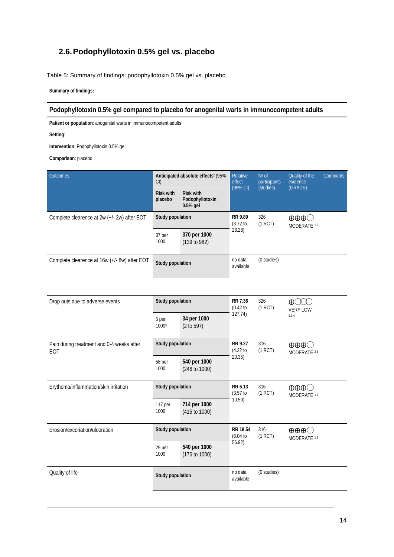## **2.6.Podophyllotoxin 0.5% gel vs. placebo**

<span id="page-13-0"></span>Table 5: Summary of findings: podophyllotoxin 0.5% gel vs. placebo

**Summary of findings:** 

### **Podophyllotoxin 0.5% gel compared to placebo for anogenital warts in immunocompetent adults**

**Patient or population**: anogenital warts in immunocompetent adults

**Setting**:

**Intervention**: Podophyllotoxin 0.5% gel

| Outcomes                                         | CI                                             | Anticipated absolute effects' (95%              |                              | Nº of<br>participants<br>(studies) | Quality of the<br>evidence<br>(GRADE)                      | <b>Comments</b> |
|--------------------------------------------------|------------------------------------------------|-------------------------------------------------|------------------------------|------------------------------------|------------------------------------------------------------|-----------------|
|                                                  | <b>Risk with</b><br>placebo                    | <b>Risk with</b><br>Podophyllotoxin<br>0.5% gel | (95% CI)                     |                                    |                                                            |                 |
| Complete clearence at 2w (+/- 2w) after EOT      | Study population                               |                                                 | <b>RR 9.89</b><br>(3.72)     | 326<br>(1 RCT)                     | $\oplus \oplus \oplus \bigcirc$<br>MODERATE 1,2            |                 |
|                                                  | 370 per 1000<br>37 per<br>1000<br>(139 to 982) |                                                 | 26.28                        |                                    |                                                            |                 |
| Complete clearence at 16w (+/- 8w) after EOT     | Study population                               |                                                 | no data<br>available         | (0 studies)                        |                                                            |                 |
|                                                  |                                                |                                                 |                              |                                    |                                                            |                 |
| Drop outs due to adverse events                  | Study population                               |                                                 | RR 7.36<br>(0.42)            | 326<br>(1 RCT)                     | ⊕<br><b>VERY LOW</b>                                       |                 |
|                                                  | 5 per<br>10005                                 | 34 per 1000<br>(2 to 597)                       | 127.74)                      |                                    | 2,3,4                                                      |                 |
| Pain during treatment and 0-4 weeks after<br>EOT | Study population                               |                                                 | <b>RR 9.27</b><br>$(4.22$ to | 316<br>(1 RCT)                     | $\oplus \oplus \oplus \bigcirc$<br>MODERATE 2,3            |                 |
|                                                  | 58 per<br>1000                                 | 540 per 1000<br>(246 to 1000)                   | 20.35)                       |                                    |                                                            |                 |
| Erythema/inflammation/skin irritation            | Study population                               |                                                 | RR 6.13<br>$(3.57)$ to       | 316<br>(1 RCT)                     | $\oplus \oplus \oplus \bigcirc$<br>MODERATE <sup>1,2</sup> |                 |
|                                                  | 117 per<br>1000                                | 714 per 1000<br>(416 to 1000)                   | 10.50)                       |                                    |                                                            |                 |
| Erosion/excoriation/ulceration                   | Study population                               |                                                 | RR 18.54<br>(6.04)           | 316<br>(1 RCT)                     | $\oplus \oplus \oplus \bigcirc$<br>MODERATE 1,2            |                 |
|                                                  | 29 per<br>1000                                 | 540 per 1000<br>(176 to 1000)                   | 56.92)                       |                                    |                                                            |                 |
| Quality of life                                  | Study population                               |                                                 | no data<br>available         | (0 studies)                        |                                                            |                 |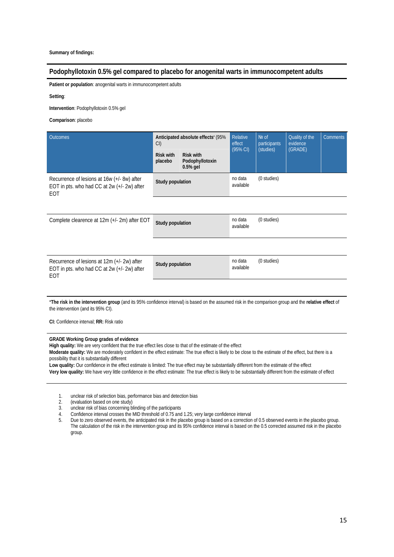### **Podophyllotoxin 0.5% gel compared to placebo for anogenital warts in immunocompetent adults**

**Patient or population**: anogenital warts in immunocompetent adults

**Setting**:

**Intervention**: Podophyllotoxin 0.5% gel

**Comparison**: placebo

| <b>Outcomes</b>                                                                                          | Anticipated absolute effects' (95%<br>CI |                                                   | <b>Relative</b><br>effect<br>(95% CI) | Nº of<br>participants<br>(studies) | Quality of the<br>evidence | <b>Comments</b> |
|----------------------------------------------------------------------------------------------------------|------------------------------------------|---------------------------------------------------|---------------------------------------|------------------------------------|----------------------------|-----------------|
|                                                                                                          | <b>Risk with</b><br>placebo              | <b>Risk with</b><br>Podophyllotoxin<br>$0.5%$ gel |                                       |                                    | (GRADE)                    |                 |
| Recurrence of lesions at 16w (+/- 8w) after<br>EOT in pts. who had CC at $2w (+/- 2w)$ after<br>EOT      | Study population                         |                                                   | no data<br>available                  | (0 studies)                        |                            |                 |
|                                                                                                          |                                          |                                                   |                                       |                                    |                            |                 |
| Complete clearence at 12m (+/- 2m) after EOT                                                             | <b>Study population</b>                  |                                                   | no data<br>available                  | (0 studies)                        |                            |                 |
|                                                                                                          |                                          |                                                   |                                       |                                    |                            |                 |
| Recurrence of lesions at 12m (+/- 2w) after<br>EOT in pts. who had CC at 2w (+/- 2w) after<br><b>EOT</b> | Study population                         |                                                   | no data<br>available                  | (0 studies)                        |                            |                 |
|                                                                                                          |                                          |                                                   |                                       |                                    |                            |                 |

\***The risk in the intervention group** (and its 95% confidence interval) is based on the assumed risk in the comparison group and the **relative effect** of the intervention (and its 95% CI).

**CI:** Confidence interval; **RR:** Risk ratio

#### **GRADE Working Group grades of evidence**

**High quality:** We are very confident that the true effect lies close to that of the estimate of the effect

**Moderate quality:** We are moderately confident in the effect estimate: The true effect is likely to be close to the estimate of the effect, but there is a possibility that it is substantially different

**Low quality:** Our confidence in the effect estimate is limited: The true effect may be substantially different from the estimate of the effect **Very low quality:** We have very little confidence in the effect estimate: The true effect is likely to be substantially different from the estimate of effect

- 1. unclear risk of selection bias, performance bias and detection bias
- 2. (evaluation based on one study)<br>3. unclear risk of bias concerning bl
- unclear risk of bias concerning blinding of the participants
- 4. Confidence interval crosses the MID threshold of 0.75 and 1.25; very large confidence interval
- Due to zero observed events, the anticipated risk in the placebo group is based on a correction of 0.5 observed events in the placebo group. The calculation of the risk in the intervention group and its 95% confidence interval is based on the 0.5 corrected assumed risk in the placebo group.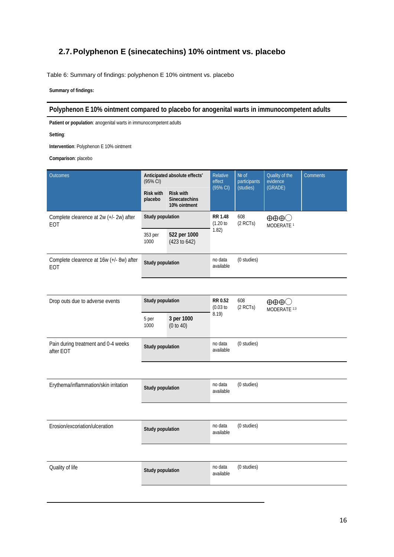## <span id="page-15-0"></span>**2.7.Polyphenon E (sinecatechins) 10% ointment vs. placebo**

<span id="page-15-1"></span>Table 6: Summary of findings: polyphenon E 10% ointment vs. placebo

**Summary of findings:** 

### **Polyphenon E 10% ointment compared to placebo for anogenital warts in immunocompetent adults**

**Patient or population**: anogenital warts in immunocompetent adults

**Setting**:

**Intervention**: Polyphenon E 10% ointment

| Outcomes                                              | Anticipated absolute effects*<br>$(95\% \,\text{Cl})$ |                                                          | Relative<br>effect<br>(95% CI) | Nº of<br>participants<br>(studies) | Quality of the<br>evidence<br>(GRADE)                      | Comments |  |
|-------------------------------------------------------|-------------------------------------------------------|----------------------------------------------------------|--------------------------------|------------------------------------|------------------------------------------------------------|----------|--|
|                                                       | <b>Risk with</b><br>placebo                           | <b>Risk with</b><br><b>Sinecatechins</b><br>10% ointment |                                |                                    |                                                            |          |  |
| Complete clearence at 2w (+/- 2w) after<br><b>EOT</b> | Study population                                      |                                                          | <b>RR 1.48</b><br>(1.20 to     | 608<br>$(2$ RCTs)                  | $\oplus \oplus \oplus \bigcirc$<br>MODERATE <sup>1</sup>   |          |  |
|                                                       | 353 per<br>1000                                       | 522 per 1000<br>(423 to 642)                             | 1.82)                          |                                    |                                                            |          |  |
| Complete clearence at 16w (+/- 8w) after<br>EOT       | Study population                                      |                                                          | no data<br>available           | (0 studies)                        |                                                            |          |  |
|                                                       |                                                       |                                                          |                                |                                    |                                                            |          |  |
| Drop outs due to adverse events                       | Study population                                      |                                                          | RR 0.52<br>(0.03)              | 608<br>$(2$ RCTs)                  | $\oplus \oplus \oplus \bigcirc$<br>MODERATE <sup>2,3</sup> |          |  |
|                                                       | 5 per<br>1000                                         | 3 per 1000<br>(0 to 40)                                  | 8.19)                          |                                    |                                                            |          |  |
| Pain during treatment and 0-4 weeks<br>after EOT      | Study population                                      |                                                          | no data<br>available           | (0 studies)                        |                                                            |          |  |
|                                                       |                                                       |                                                          |                                |                                    |                                                            |          |  |
| Erythema/inflammation/skin irritation                 | Study population                                      |                                                          | no data<br>available           | (0 studies)                        |                                                            |          |  |
|                                                       |                                                       |                                                          |                                |                                    |                                                            |          |  |
| Erosion/excoriation/ulceration                        | Study population                                      |                                                          | no data<br>available           | (0 studies)                        |                                                            |          |  |
|                                                       |                                                       |                                                          |                                |                                    |                                                            |          |  |
| Quality of life                                       | Study population                                      |                                                          | no data<br>available           | (0 studies)                        |                                                            |          |  |
|                                                       |                                                       |                                                          |                                |                                    |                                                            |          |  |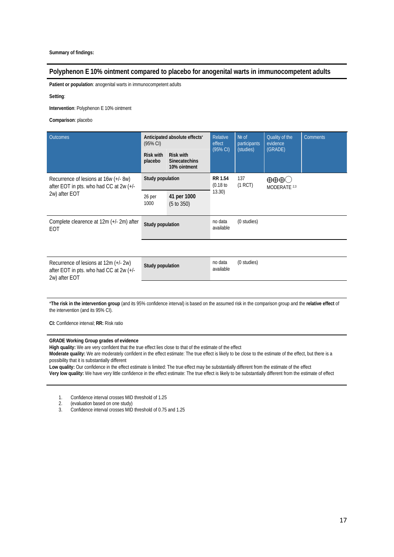### **Polyphenon E 10% ointment compared to placebo for anogenital warts in immunocompetent adults**

**Patient or population**: anogenital warts in immunocompetent adults

**Setting**:

**Intervention**: Polyphenon E 10% ointment

**Comparison**: placebo

| <b>Outcomes</b>                                                                                   | Anticipated absolute effects'<br>$(95% \text{ Cl})$<br><b>Risk with</b><br><b>Risk with</b><br>placebo<br><b>Sinecatechins</b><br>10% ointment |  | Relative<br>effect<br>$(95% \text{ Cl})$ | $Ne$ of<br>participants<br>(studies) | Quality of the<br>evidence<br>(GRADE)  | <b>Comments</b> |
|---------------------------------------------------------------------------------------------------|------------------------------------------------------------------------------------------------------------------------------------------------|--|------------------------------------------|--------------------------------------|----------------------------------------|-----------------|
| Recurrence of lesions at 16w (+/- 8w)<br>after EOT in pts. who had CC at 2w (+/-<br>2w) after EOT | Study population<br>41 per 1000<br>26 per<br>1000<br>(5 to 350)                                                                                |  | RR 1.54<br>(0.18)<br>13.30               | 137<br>(1 RCT)                       | $\oplus \oplus \oplus$<br>MODERATE 2,3 |                 |
| Complete clearence at 12m (+/- 2m) after<br>EOT                                                   | Study population                                                                                                                               |  | no data<br>available                     | (0 studies)                          |                                        |                 |

Recurrence of lesions at 12m (+/- 2w) after EOT in pts. who had CC at 2w (+/- 2w) after EOT

**Study population** no data available (0 studies)

\***The risk in the intervention group** (and its 95% confidence interval) is based on the assumed risk in the comparison group and the **relative effect** of

the intervention (and its 95% CI).

**CI:** Confidence interval; **RR:** Risk ratio

#### **GRADE Working Group grades of evidence**

**High quality:** We are very confident that the true effect lies close to that of the estimate of the effect

**Moderate quality:** We are moderately confident in the effect estimate: The true effect is likely to be close to the estimate of the effect, but there is a possibility that it is substantially different

**Low quality:** Our confidence in the effect estimate is limited: The true effect may be substantially different from the estimate of the effect **Very low quality:** We have very little confidence in the effect estimate: The true effect is likely to be substantially different from the estimate of effect

1. Confidence interval crosses MID threshold of 1.25<br>2 (evaluation based on one study)

2. (evaluation based on one study)<br>3. Confidence interval crosses MID

3. Confidence interval crosses MID threshold of 0.75 and 1.25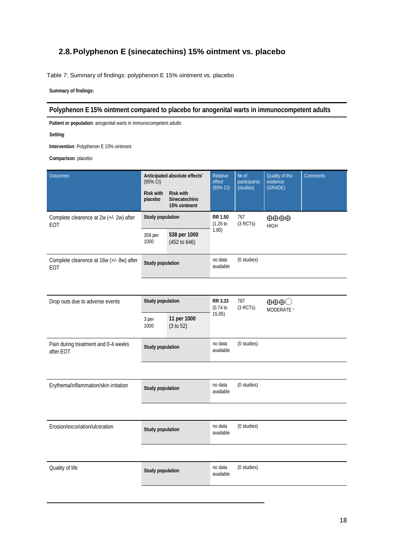## <span id="page-17-0"></span>**2.8.Polyphenon E (sinecatechins) 15% ointment vs. placebo**

<span id="page-17-1"></span>Table 7: Summary of findings: polyphenon E 15% ointment vs. placebo

**Summary of findings:** 

### **Polyphenon E 15% ointment compared to placebo for anogenital warts in immunocompetent adults**

**Patient or population**: anogenital warts in immunocompetent adults

**Setting**:

**Intervention**: Polyphenon E 15% ointment

| <b>Outcomes</b>                                  | (95% CI)                    | Anticipated absolute effects*                            |                          | Nº of<br>participants<br>(studies) | Quality of the<br>evidence<br>(GRADE)                    | Comments |
|--------------------------------------------------|-----------------------------|----------------------------------------------------------|--------------------------|------------------------------------|----------------------------------------------------------|----------|
|                                                  | <b>Risk with</b><br>placebo | <b>Risk with</b><br><b>Sinecatechins</b><br>15% ointment | (95% C)                  |                                    |                                                          |          |
| Complete clearence at 2w (+/- 2w) after<br>EOT   | Study population            |                                                          | <b>RR 1.50</b><br>(1.26) | 767<br>(3 RCTs)                    | $\oplus \oplus \oplus$<br><b>HIGH</b>                    |          |
|                                                  | 359 per<br>1000             | 538 per 1000<br>(452 to 646)                             | 1.80)                    |                                    |                                                          |          |
| Complete clearence at 16w (+/- 8w) after<br>EOT  | Study population            |                                                          | no data<br>available     | (0 studies)                        |                                                          |          |
|                                                  |                             |                                                          |                          |                                    |                                                          |          |
| Drop outs due to adverse events                  | Study population            |                                                          | RR 3.33<br>(0.74)        | 767<br>(3 RCTs)                    | $\oplus \oplus \oplus \bigcirc$<br>MODERATE <sup>1</sup> |          |
|                                                  | 3 per<br>1000               | 11 per 1000<br>(3 to 52)                                 | 15.05)                   |                                    |                                                          |          |
| Pain during treatment and 0-4 weeks<br>after EOT | Study population            |                                                          | no data<br>available     | (0 studies)                        |                                                          |          |
|                                                  |                             |                                                          |                          |                                    |                                                          |          |
| Erythema/inflammation/skin irritation            | Study population            |                                                          | no data<br>available     | (0 studies)                        |                                                          |          |
|                                                  |                             |                                                          |                          |                                    |                                                          |          |
| Erosion/excoriation/ulceration                   | Study population            |                                                          | no data<br>available     | (0 studies)                        |                                                          |          |
|                                                  |                             |                                                          |                          |                                    |                                                          |          |
| Quality of life                                  | Study population            |                                                          | no data<br>available     | (0 studies)                        |                                                          |          |
|                                                  |                             |                                                          |                          |                                    |                                                          |          |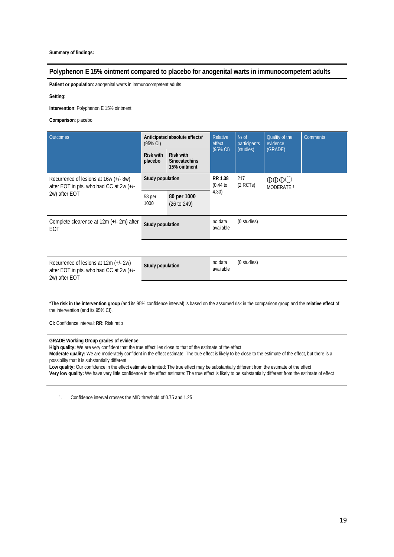### **Polyphenon E 15% ointment compared to placebo for anogenital warts in immunocompetent adults**

**Patient or population**: anogenital warts in immunocompetent adults

**Setting**:

**Intervention**: Polyphenon E 15% ointment

**Comparison**: placebo

| <b>Outcomes</b>                                                                                   | Anticipated absolute effects'<br>$(95% \text{ Cl})$ |                                                          | <b>Relative</b><br>effect<br>(95% CI) | $Ne$ of<br>participants<br>(studies) | Quality of the<br>evidence<br>(GRADE) | <b>Comments</b> |
|---------------------------------------------------------------------------------------------------|-----------------------------------------------------|----------------------------------------------------------|---------------------------------------|--------------------------------------|---------------------------------------|-----------------|
|                                                                                                   | <b>Risk with</b><br>placebo                         | <b>Risk with</b><br><b>Sinecatechins</b><br>15% ointment |                                       |                                      |                                       |                 |
| Recurrence of lesions at 16w (+/- 8w)<br>after EOT in pts. who had CC at 2w (+/-<br>2w) after EOT | Study population                                    |                                                          | RR 1.38<br>(0.44)                     | 217<br>$(2$ RCTs)                    | MODERATE <sup>1</sup>                 |                 |
|                                                                                                   | 58 per<br>1000                                      | 80 per 1000<br>$(26 \text{ to } 249)$                    | 4.30)                                 |                                      |                                       |                 |
| Complete clearence at 12m (+/-2m) after<br>EOT                                                    | Study population                                    |                                                          | no data<br>available                  | (0 studies)                          |                                       |                 |

Recurrence of lesions at 12m (+/- 2w) after EOT in pts. who had CC at 2w (+/- 2w) after EOT **Study population** no data

available (0 studies)

\***The risk in the intervention group** (and its 95% confidence interval) is based on the assumed risk in the comparison group and the **relative effect** of the intervention (and its 95% CI).

**CI:** Confidence interval; **RR:** Risk ratio

### **GRADE Working Group grades of evidence**

**High quality:** We are very confident that the true effect lies close to that of the estimate of the effect

**Moderate quality:** We are moderately confident in the effect estimate: The true effect is likely to be close to the estimate of the effect, but there is a possibility that it is substantially different

**Low quality:** Our confidence in the effect estimate is limited: The true effect may be substantially different from the estimate of the effect **Very low quality:** We have very little confidence in the effect estimate: The true effect is likely to be substantially different from the estimate of effect

1. Confidence interval crosses the MID threshold of 0.75 and 1.25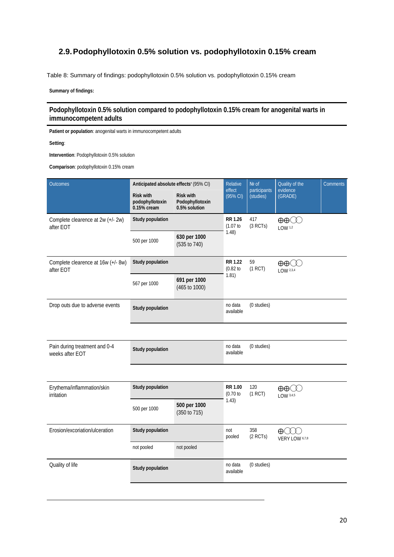## <span id="page-19-0"></span>**2.9.Podophyllotoxin 0.5% solution vs. podophyllotoxin 0.15% cream**

<span id="page-19-1"></span>Table 8: Summary of findings: podophyllotoxin 0.5% solution vs. podophyllotoxin 0.15% cream

**Summary of findings:** 

### **Podophyllotoxin 0.5% solution compared to podophyllotoxin 0.15% cream for anogenital warts in immunocompetent adults**

**Patient or population**: anogenital warts in immunocompetent adults

**Setting**:

**Intervention**: Podophyllotoxin 0.5% solution

**Comparison**: podophyllotoxin 0.15% cream

|                                                                     | Relative                                             | No of                                  | Quality of the                    | <b>Comments</b>  |                            |
|---------------------------------------------------------------------|------------------------------------------------------|----------------------------------------|-----------------------------------|------------------|----------------------------|
| <b>Risk with</b><br>podophyllotoxin<br>0.15% cream                  | <b>Risk with</b><br>Podophyllotoxin<br>0.5% solution | (95% CI)                               | (studies)                         | (GRADE)          |                            |
| Study population                                                    |                                                      | <b>RR 1.26</b><br>(1.07)               | 417<br>(3 RCTs)                   | LOW 1.2          |                            |
| 500 per 1000                                                        | 630 per 1000<br>(535 to 740)                         |                                        |                                   |                  |                            |
| Study population<br>Complete clearence at 16w (+/- 8w)<br>after EOT |                                                      | <b>RR 1.22</b><br>(0.82)               | 59<br>(1 RCT)                     | LOW 2,3,4        |                            |
| 567 per 1000                                                        | 691 per 1000<br>(465 to 1000)                        |                                        |                                   |                  |                            |
| Study population                                                    |                                                      | no data<br>available                   | (0 studies)                       |                  |                            |
|                                                                     |                                                      |                                        |                                   |                  |                            |
| Study population                                                    |                                                      | no data<br>available                   | (0 studies)                       |                  |                            |
|                                                                     |                                                      |                                        |                                   |                  |                            |
| Study population                                                    |                                                      | <b>RR 1.00</b><br>(0.70)               | 120<br>(1 RCT)                    | LOW 3,4,5        |                            |
| 500 per 1000                                                        | 500 per 1000<br>(350 to 715)                         |                                        |                                   |                  |                            |
| <b>Study population</b><br>not pooled<br>not pooled                 |                                                      | not<br>pooled                          | 358<br>$(2$ RCTs)                 | $\bigoplus$ (11) |                            |
|                                                                     |                                                      |                                        |                                   |                  |                            |
| Study population                                                    |                                                      | no data<br>available                   | (0 studies)                       |                  |                            |
|                                                                     |                                                      | Anticipated absolute effects' (95% CI) | effect<br>1.48)<br>1.81)<br>1.43) | participants     | evidence<br>VERY LOW 6,7,8 |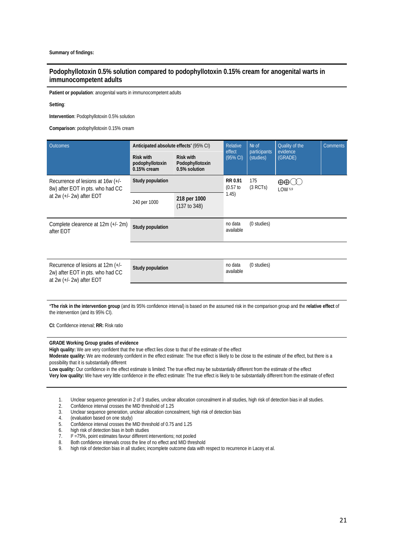### **Podophyllotoxin 0.5% solution compared to podophyllotoxin 0.15% cream for anogenital warts in immunocompetent adults**

**Patient or population**: anogenital warts in immunocompetent adults

#### **Setting**:

**Intervention**: Podophyllotoxin 0.5% solution

**Comparison**: podophyllotoxin 0.15% cream

| <b>Outcomes</b>                                                                                        | Anticipated absolute effects' (95% CI)                                                                       | Relative                     | Nº of                | Quality of the            | <b>Comments</b>            |  |
|--------------------------------------------------------------------------------------------------------|--------------------------------------------------------------------------------------------------------------|------------------------------|----------------------|---------------------------|----------------------------|--|
|                                                                                                        | <b>Risk with</b><br><b>Risk with</b><br>podophyllotoxin<br>Podophyllotoxin<br>0.5% solution<br>$0.15%$ cream |                              | effect<br>(95% CI)   | participants<br>(studies) | evidence<br>(GRADE)        |  |
| Recurrence of lesions at $16w (+/-$<br>8w) after EOT in pts. who had CC                                | Study population                                                                                             |                              |                      | 175<br>(3 RCTs)           | $\oplus \oplus$<br>LOW 5.9 |  |
| at $2w$ (+/- $2w$ ) after EOT                                                                          | 240 per 1000                                                                                                 | 218 per 1000<br>(137 to 348) | 1.45)                |                           |                            |  |
| Complete clearence at 12m (+/- 2m)<br>after EOT                                                        | Study population                                                                                             |                              | no data<br>available | (0 studies)               |                            |  |
|                                                                                                        |                                                                                                              |                              |                      |                           |                            |  |
| Recurrence of lesions at 12m (+/-<br>2w) after EOT in pts. who had CC<br>at $2w$ (+/- $2w$ ) after EOT | Study population                                                                                             |                              | no data<br>available | (0 studies)               |                            |  |

\***The risk in the intervention group** (and its 95% confidence interval) is based on the assumed risk in the comparison group and the **relative effect** of the intervention (and its 95% CI).

**CI:** Confidence interval; **RR:** Risk ratio

#### **GRADE Working Group grades of evidence**

**High quality:** We are very confident that the true effect lies close to that of the estimate of the effect

**Moderate quality:** We are moderately confident in the effect estimate: The true effect is likely to be close to the estimate of the effect, but there is a possibility that it is substantially different

**Low quality:** Our confidence in the effect estimate is limited: The true effect may be substantially different from the estimate of the effect **Very low quality:** We have very little confidence in the effect estimate: The true effect is likely to be substantially different from the estimate of effect

1. Unclear sequence generation in 2 of 3 studies, unclear allocation concealment in all studies, high risk of detection bias in all studies.

- 2. Confidence interval crosses the MID threshold of 1.25<br>3. Unclear sequence generation, unclear allocation conc
- Unclear sequence generation, unclear allocation concealment, high risk of detection bias
- 4. (evaluation based on one study)
- 5. Confidence interval crosses the MID threshold of 0.75 and 1.25
- 6. high risk of detection bias in both studies<br>7.  $I^2 = 75\%$ , point estimates favour different i
- $1^2$  =75%, point estimates favour different interventions; not pooled
- 8. Both confidence intervals cross the line of no effect and MID threshold
- 9. high risk of detection bias in all studies; incomplete outcome data with respect to recurrence in Lacey et al.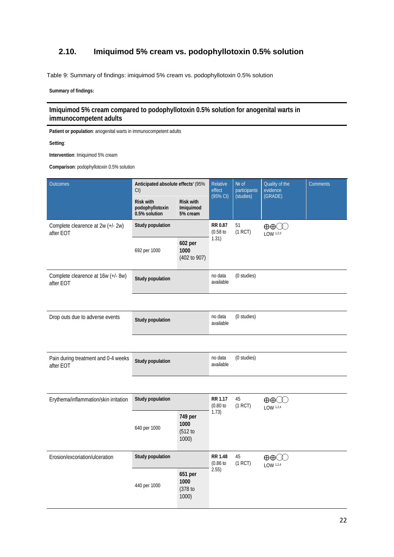## <span id="page-21-0"></span>**2.10. Imiquimod 5% cream vs. podophyllotoxin 0.5% solution**

<span id="page-21-1"></span>Table 9: Summary of findings: imiquimod 5% cream vs. podophyllotoxin 0.5% solution

**Summary of findings:** 

**Imiquimod 5% cream compared to podophyllotoxin 0.5% solution for anogenital warts in immunocompetent adults**

**Patient or population**: anogenital warts in immunocompetent adults

**Setting**:

**Intervention**: Imiquimod 5% cream

**Comparison**: podophyllotoxin 0.5% solution

| Outcomes                                         | Anticipated absolute effects' (95%<br>CI             |                                           | Relative<br>effect<br>(95% CI) | Nº of<br>participants<br>(studies) | Quality of the<br>evidence<br>(GRADE) | <b>Comments</b> |
|--------------------------------------------------|------------------------------------------------------|-------------------------------------------|--------------------------------|------------------------------------|---------------------------------------|-----------------|
|                                                  | <b>Risk with</b><br>podophyllotoxin<br>0.5% solution | <b>Risk with</b><br>Imiquimod<br>5% cream |                                |                                    |                                       |                 |
| Complete clearence at 2w (+/- 2w)<br>after EOT   | Study population                                     |                                           | RR 0.87<br>(0.58)              | 51<br>(1 RCT)                      | $\oplus\oplus$ $\oplus$<br>LOW 1,2,3  |                 |
|                                                  | 692 per 1000                                         | 602 per<br>1000<br>(402 to 907)           | 1.31)                          |                                    |                                       |                 |
| Complete clearence at 16w (+/- 8w)<br>after EOT  | Study population                                     |                                           | no data<br>available           | (0 studies)                        |                                       |                 |
|                                                  |                                                      |                                           |                                |                                    |                                       |                 |
| Drop outs due to adverse events                  | Study population                                     |                                           | no data<br>available           | (0 studies)                        |                                       |                 |
|                                                  |                                                      |                                           |                                |                                    |                                       |                 |
| Pain during treatment and 0-4 weeks<br>after EOT | Study population                                     |                                           | no data<br>available           | (0 studies)                        |                                       |                 |
|                                                  |                                                      |                                           |                                |                                    |                                       |                 |
| Erythema/inflammation/skin irritation            | Study population                                     |                                           | RR 1.17<br>(0.80)              | 45<br>(1 RCT)                      | $\oplus\oplus$ $\oplus$<br>LOW 1,2,4  |                 |
|                                                  | 640 per 1000                                         | 749 per<br>1000<br>(512 to<br>1000)       | 1.73)                          |                                    |                                       |                 |
| Erosion/excoriation/ulceration                   | Study population                                     |                                           | <b>RR 1.48</b><br>(0.86)       | 45<br>(1 RCT)                      | LOW 1,2,4                             |                 |
| 1000<br>440 per 1000<br>1000)                    |                                                      | 651 per<br>(378 to                        | 2.55)                          |                                    |                                       |                 |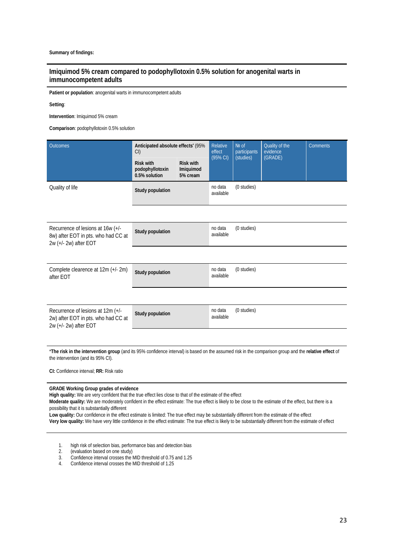### **Imiquimod 5% cream compared to podophyllotoxin 0.5% solution for anogenital warts in immunocompetent adults**

**Patient or population**: anogenital warts in immunocompetent adults

#### **Setting**:

**Intervention**: Imiquimod 5% cream

**Comparison**: podophyllotoxin 0.5% solution

| <b>Outcomes</b>                                                                                   | Anticipated absolute effects' (95%<br>CI             |                                           | Relative<br>effect   | Nº of<br>participants | Quality of the<br>evidence<br>(GRADE) | <b>Comments</b> |
|---------------------------------------------------------------------------------------------------|------------------------------------------------------|-------------------------------------------|----------------------|-----------------------|---------------------------------------|-----------------|
|                                                                                                   | <b>Risk with</b><br>podophyllotoxin<br>0.5% solution | <b>Risk with</b><br>Imiquimod<br>5% cream | (95% CI)             | (studies)             |                                       |                 |
| Quality of life                                                                                   | Study population                                     |                                           | no data<br>available | (0 studies)           |                                       |                 |
|                                                                                                   |                                                      |                                           |                      |                       |                                       |                 |
| Recurrence of lesions at 16w (+/-<br>8w) after EOT in pts. who had CC at<br>2w (+/- 2w) after EOT | Study population                                     |                                           | no data<br>available | (0 studies)           |                                       |                 |
|                                                                                                   |                                                      |                                           |                      |                       |                                       |                 |
| Complete clearence at 12m (+/- 2m)<br>after EOT                                                   | <b>Study population</b>                              |                                           | no data<br>available | (0 studies)           |                                       |                 |
|                                                                                                   |                                                      |                                           |                      |                       |                                       |                 |
| Recurrence of lesions at 12m (+/-<br>2w) after EOT in pts. who had CC at<br>2w (+/- 2w) after EOT | Study population                                     |                                           | no data<br>available | (0 studies)           |                                       |                 |
|                                                                                                   |                                                      |                                           |                      |                       |                                       |                 |

\***The risk in the intervention group** (and its 95% confidence interval) is based on the assumed risk in the comparison group and the **relative effect** of the intervention (and its 95% CI).

**CI:** Confidence interval; **RR:** Risk ratio

#### **GRADE Working Group grades of evidence**

**High quality:** We are very confident that the true effect lies close to that of the estimate of the effect

**Moderate quality:** We are moderately confident in the effect estimate: The true effect is likely to be close to the estimate of the effect, but there is a possibility that it is substantially different

**Low quality:** Our confidence in the effect estimate is limited: The true effect may be substantially different from the estimate of the effect **Very low quality:** We have very little confidence in the effect estimate: The true effect is likely to be substantially different from the estimate of effect

- 1. high risk of selection bias, performance bias and detection bias
- 2. (evaluation based on one study)
- 3. Confidence interval crosses the MID threshold of 0.75 and 1.25
- 4. Confidence interval crosses the MID threshold of 1.25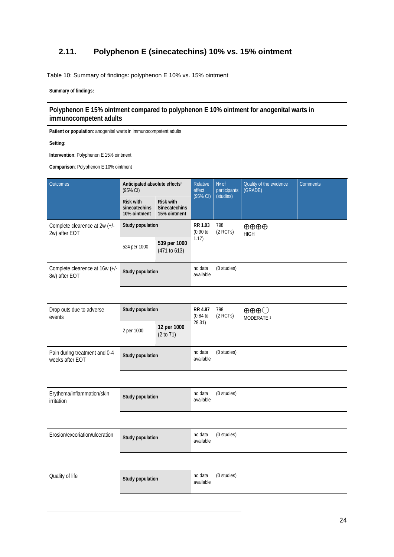## <span id="page-23-0"></span>**2.11. Polyphenon E (sinecatechins) 10% vs. 15% ointment**

<span id="page-23-1"></span>Table 10: Summary of findings: polyphenon E 10% vs. 15% ointment

**Summary of findings:** 

**Polyphenon E 15% ointment compared to polyphenon E 10% ointment for anogenital warts in immunocompetent adults**

**Patient or population**: anogenital warts in immunocompetent adults

**Setting**:

**Intervention**: Polyphenon E 15% ointment

**Comparison**: Polyphenon E 10% ointment

| Outcomes                                         | Anticipated absolute effects'<br>(95% CI)         |                                                          | Relative<br>effect<br>(95% CI) | Nº of<br>participants<br>(studies) | Quality of the evidence<br>(GRADE)                       | Comments |  |  |
|--------------------------------------------------|---------------------------------------------------|----------------------------------------------------------|--------------------------------|------------------------------------|----------------------------------------------------------|----------|--|--|
|                                                  | <b>Risk with</b><br>sinecatechins<br>10% ointment | <b>Risk with</b><br><b>Sinecatechins</b><br>15% ointment |                                |                                    |                                                          |          |  |  |
| Complete clearence at 2w (+/-<br>2w) after EOT   | Study population                                  |                                                          | RR 1.03<br>(0.90 to            | 798<br>$(2$ RCTs)                  | $\oplus \oplus \oplus$<br><b>HIGH</b>                    |          |  |  |
|                                                  | 524 per 1000                                      | 539 per 1000<br>(471 to 613)                             | 1.17)                          |                                    |                                                          |          |  |  |
| Complete clearence at 16w (+/-<br>8w) after EOT  | Study population                                  |                                                          | no data<br>available           | (0 studies)                        |                                                          |          |  |  |
|                                                  |                                                   |                                                          |                                |                                    |                                                          |          |  |  |
| Drop outs due to adverse<br>events               | <b>Study population</b>                           |                                                          | RR 4.87<br>(0.84)              | 798<br>(2 RCTs)                    | $\oplus \oplus \oplus \bigcirc$<br>MODERATE <sup>1</sup> |          |  |  |
|                                                  | 2 per 1000                                        | 12 per 1000<br>(2 to 71)                                 | 28.31)                         |                                    |                                                          |          |  |  |
| Pain during treatment and 0-4<br>weeks after EOT | Study population                                  |                                                          | no data<br>available           | (0 studies)                        |                                                          |          |  |  |
|                                                  |                                                   |                                                          |                                |                                    |                                                          |          |  |  |
| Erythema/inflammation/skin<br>irritation         | <b>Study population</b>                           |                                                          | no data<br>available           | (0 studies)                        |                                                          |          |  |  |
|                                                  |                                                   |                                                          |                                |                                    |                                                          |          |  |  |
| Erosion/excoriation/ulceration                   | Study population                                  |                                                          | no data<br>available           | (0 studies)                        |                                                          |          |  |  |
|                                                  |                                                   |                                                          |                                |                                    |                                                          |          |  |  |
| Quality of life                                  | Study population                                  |                                                          | no data<br>available           | (0 studies)                        |                                                          |          |  |  |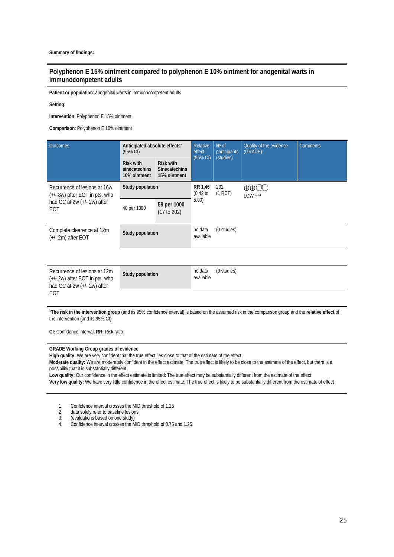### **Polyphenon E 15% ointment compared to polyphenon E 10% ointment for anogenital warts in immunocompetent adults**

**Patient or population**: anogenital warts in immunocompetent adults

#### **Setting**:

**Intervention**: Polyphenon E 15% ointment

**Comparison**: Polyphenon E 10% ointment

| <b>Outcomes</b>                                                                                                     | Anticipated absolute effects <sup>®</sup><br>(95% CI)<br><b>Risk with</b><br>sinecatechins | <b>Risk with</b><br><b>Sinecatechins</b> | Relative<br>effect<br>(95% CI) | Nº of<br>participants<br>(studies) | Quality of the evidence<br>(GRADE)  | <b>Comments</b> |
|---------------------------------------------------------------------------------------------------------------------|--------------------------------------------------------------------------------------------|------------------------------------------|--------------------------------|------------------------------------|-------------------------------------|-----------------|
|                                                                                                                     | 10% ointment                                                                               | 15% ointment                             |                                |                                    |                                     |                 |
| Recurrence of lesions at 16w<br>(+/- 8w) after EOT in pts. who                                                      | Study population                                                                           |                                          | <b>RR 1.46</b><br>(0.42)       | 201<br>(1 RCT)                     | $\oplus \oplus \infty$<br>LOW 2,3,4 |                 |
| had CC at 2w (+/- 2w) after<br>EOT                                                                                  | 40 per 1000                                                                                | 59 per 1000<br>(17 to 202)               | 5.00)                          |                                    |                                     |                 |
| Complete clearence at 12m<br>$(+/- 2m)$ after EOT                                                                   | Study population                                                                           |                                          | no data<br>available           | (0 studies)                        |                                     |                 |
|                                                                                                                     |                                                                                            |                                          |                                |                                    |                                     |                 |
| Recurrence of lesions at 12m<br>$(+/- 2w)$ after EOT in pts. who<br>had CC at $2w$ ( $+/- 2w$ ) after<br><b>EOT</b> | Study population                                                                           |                                          | no data<br>available           | (0 studies)                        |                                     |                 |

\***The risk in the intervention group** (and its 95% confidence interval) is based on the assumed risk in the comparison group and the **relative effect** of the intervention (and its 95% CI).

**CI:** Confidence interval; **RR:** Risk ratio

#### **GRADE Working Group grades of evidence**

**High quality:** We are very confident that the true effect lies close to that of the estimate of the effect

**Moderate quality:** We are moderately confident in the effect estimate: The true effect is likely to be close to the estimate of the effect, but there is a possibility that it is substantially different

**Low quality:** Our confidence in the effect estimate is limited: The true effect may be substantially different from the estimate of the effect **Very low quality:** We have very little confidence in the effect estimate: The true effect is likely to be substantially different from the estimate of effect

1. Confidence interval crosses the MID threshold of 1.25<br>2. data solely refer to baseline lesions

- 2. data solely refer to baseline lesions<br>3. (evaluations based on one study)
- 3. (evaluations based on one study)
- 4. Confidence interval crosses the MID threshold of 0.75 and 1.25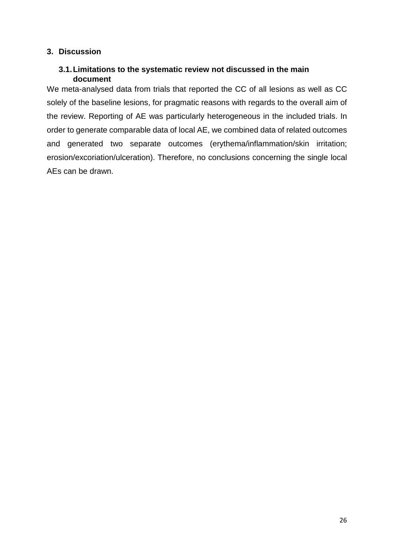## <span id="page-25-1"></span><span id="page-25-0"></span>**3. Discussion**

## **3.1.Limitations to the systematic review not discussed in the main document**

We meta-analysed data from trials that reported the CC of all lesions as well as CC solely of the baseline lesions, for pragmatic reasons with regards to the overall aim of the review. Reporting of AE was particularly heterogeneous in the included trials. In order to generate comparable data of local AE, we combined data of related outcomes and generated two separate outcomes (erythema/inflammation/skin irritation; erosion/excoriation/ulceration). Therefore, no conclusions concerning the single local AEs can be drawn.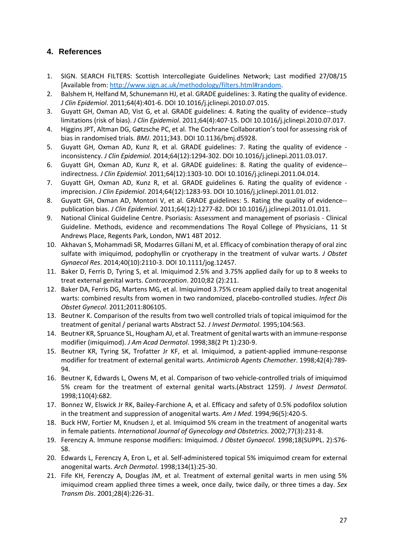## <span id="page-26-0"></span>**4. References**

- 1. SIGN. SEARCH FILTERS: Scottish Intercollegiate Guidelines Network; Last modified 27/08/15 [Available from: [http://www.sign.ac.uk/methodology/filters.html#random.](http://www.sign.ac.uk/methodology/filters.html%23random)
- 2. Balshem H, Helfand M, Schunemann HJ, et al. GRADE guidelines: 3. Rating the quality of evidence. *J Clin Epidemiol*. 2011;64(4):401-6. DOI 10.1016/j.jclinepi.2010.07.015.
- 3. Guyatt GH, Oxman AD, Vist G, et al. GRADE guidelines: 4. Rating the quality of evidence--study limitations (risk of bias). *J Clin Epidemiol*. 2011;64(4):407-15. DOI 10.1016/j.jclinepi.2010.07.017.
- 4. Higgins JPT, Altman DG, Gøtzsche PC, et al. The Cochrane Collaboration's tool for assessing risk of bias in randomised trials. *BMJ*. 2011;343. DOI 10.1136/bmj.d5928.
- 5. Guyatt GH, Oxman AD, Kunz R, et al. GRADE guidelines: 7. Rating the quality of evidence inconsistency. *J Clin Epidemiol*. 2014;64(12):1294-302. DOI 10.1016/j.jclinepi.2011.03.017.
- 6. Guyatt GH, Oxman AD, Kunz R, et al. GRADE guidelines: 8. Rating the quality of evidence- indirectness. *J Clin Epidemiol*. 2011;64(12):1303-10. DOI 10.1016/j.jclinepi.2011.04.014.
- 7. Guyatt GH, Oxman AD, Kunz R, et al. GRADE guidelines 6. Rating the quality of evidence imprecision. *J Clin Epidemiol*. 2014;64(12):1283-93. DOI 10.1016/j.jclinepi.2011.01.012.
- 8. Guyatt GH, Oxman AD, Montori V, et al. GRADE guidelines: 5. Rating the quality of evidence- publication bias. *J Clin Epidemiol*. 2011;64(12):1277-82. DOI 10.1016/j.jclinepi.2011.01.011.
- 9. National Clinical Guideline Centre. Psoriasis: Assessment and management of psoriasis Clinical Guideline. Methods, evidence and recommendations The Royal College of Physicians, 11 St Andrews Place, Regents Park, London, NW1 4BT 2012.
- 10. Akhavan S, Mohammadi SR, Modarres Gillani M, et al. Efficacy of combination therapy of oral zinc sulfate with imiquimod, podophyllin or cryotherapy in the treatment of vulvar warts. *J Obstet Gynaecol Res*. 2014;40(10):2110-3. DOI 10.1111/jog.12457.
- 11. Baker D, Ferris D, Tyring S, et al. Imiquimod 2.5% and 3.75% applied daily for up to 8 weeks to treat external genital warts. *Contraception*. 2010;82 (2):211.
- 12. Baker DA, Ferris DG, Martens MG, et al. Imiquimod 3.75% cream applied daily to treat anogenital warts: combined results from women in two randomized, placebo-controlled studies. *Infect Dis Obstet Gynecol*. 2011;2011:806105.
- 13. Beutner K. Comparison of the results from two well controlled trials of topical imiquimod for the treatment of genital / perianal warts Abstract 52. *J Invest Dermatol*. 1995;104:563.
- 14. Beutner KR, Spruance SL, Hougham AJ, et al. Treatment of genital warts with an immune-response modifier (imiquimod). *J Am Acad Dermatol*. 1998;38(2 Pt 1):230-9.
- 15. Beutner KR, Tyring SK, Trofatter Jr KF, et al. Imiquimod, a patient-applied immune-response modifier for treatment of external genital warts. *Antimicrob Agents Chemother*. 1998;42(4):789- 94.
- 16. Beutner K, Edwards L, Owens M, et al. Comparison of two vehicle-controlled trials of imiquimod 5% cream for the treatment of external genital warts.(Abstract 1259). *J Invest Dermatol*. 1998;110(4):682.
- 17. Bonnez W, Elswick Jr RK, Bailey-Farchione A, et al. Efficacy and safety of 0.5% podofilox solution in the treatment and suppression of anogenital warts. *Am J Med*. 1994;96(5):420-5.
- 18. Buck HW, Fortier M, Knudsen J, et al. Imiquimod 5% cream in the treatment of anogenital warts in female patients. *International Journal of Gynecology and Obstetrics*. 2002;77(3):231-8.
- 19. Ferenczy A. Immune response modifiers: Imiquimod. *J Obstet Gynaecol*. 1998;18(SUPPL. 2):S76- S8.
- 20. Edwards L, Ferenczy A, Eron L, et al. Self-administered topical 5% imiquimod cream for external anogenital warts. *Arch Dermatol*. 1998;134(1):25-30.
- 21. Fife KH, Ferenczy A, Douglas JM, et al. Treatment of external genital warts in men using 5% imiquimod cream applied three times a week, once daily, twice daily, or three times a day. *Sex Transm Dis*. 2001;28(4):226-31.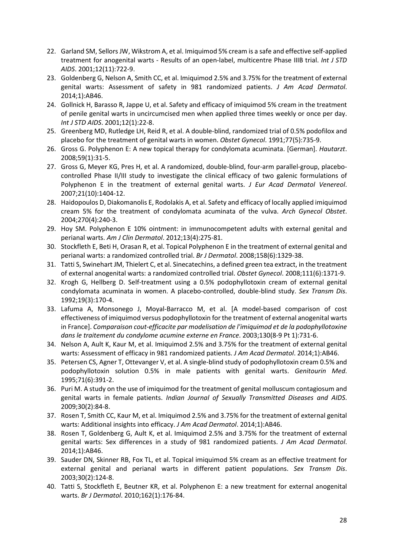- 22. Garland SM, Sellors JW, Wikstrom A, et al. Imiquimod 5% cream is a safe and effective self-applied treatment for anogenital warts - Results of an open-label, multicentre Phase IIIB trial. *Int J STD AIDS*. 2001;12(11):722-9.
- 23. Goldenberg G, Nelson A, Smith CC, et al. Imiquimod 2.5% and 3.75% for the treatment of external genital warts: Assessment of safety in 981 randomized patients. *J Am Acad Dermatol*. 2014;1):AB46.
- 24. Gollnick H, Barasso R, Jappe U, et al. Safety and efficacy of imiquimod 5% cream in the treatment of penile genital warts in uncircumcised men when applied three times weekly or once per day. *Int J STD AIDS*. 2001;12(1):22-8.
- 25. Greenberg MD, Rutledge LH, Reid R, et al. A double-blind, randomized trial of 0.5% podofilox and placebo for the treatment of genital warts in women. *Obstet Gynecol*. 1991;77(5):735-9.
- 26. Gross G. Polyphenon E: A new topical therapy for condylomata acuminata. [German]. *Hautarzt*. 2008;59(1):31-5.
- 27. Gross G, Meyer KG, Pres H, et al. A randomized, double-blind, four-arm parallel-group, placebocontrolled Phase II/III study to investigate the clinical efficacy of two galenic formulations of Polyphenon E in the treatment of external genital warts. *J Eur Acad Dermatol Venereol*. 2007;21(10):1404-12.
- 28. Haidopoulos D, Diakomanolis E, Rodolakis A, et al. Safety and efficacy of locally applied imiquimod cream 5% for the treatment of condylomata acuminata of the vulva. *Arch Gynecol Obstet*. 2004;270(4):240-3.
- 29. Hoy SM. Polyphenon E 10% ointment: in immunocompetent adults with external genital and perianal warts. *Am J Clin Dermatol*. 2012;13(4):275-81.
- 30. Stockfleth E, Beti H, Orasan R, et al. Topical Polyphenon E in the treatment of external genital and perianal warts: a randomized controlled trial. *Br J Dermatol*. 2008;158(6):1329-38.
- 31. Tatti S, Swinehart JM, Thielert C, et al. Sinecatechins, a defined green tea extract, in the treatment of external anogenital warts: a randomized controlled trial. *Obstet Gynecol*. 2008;111(6):1371-9.
- 32. Krogh G, Hellberg D. Self-treatment using a 0.5% podophyllotoxin cream of external genital condylomata acuminata in women. A placebo-controlled, double-blind study. *Sex Transm Dis*. 1992;19(3):170-4.
- 33. Lafuma A, Monsonego J, Moyal-Barracco M, et al. [A model-based comparison of cost effectiveness of imiquimod versus podophyllotoxin for the treatment of external anogenital warts in France]. *Comparaison cout-efficacite par modelisation de l'imiquimod et de la podophyllotoxine dans le traitement du condylome acumine externe en France*. 2003;130(8-9 Pt 1):731-6.
- 34. Nelson A, Ault K, Kaur M, et al. Imiquimod 2.5% and 3.75% for the treatment of external genital warts: Assessment of efficacy in 981 randomized patients. *J Am Acad Dermatol*. 2014;1):AB46.
- 35. Petersen CS, Agner T, Ottevanger V, et al. A single-blind study of podophyllotoxin cream 0.5% and podophyllotoxin solution 0.5% in male patients with genital warts. *Genitourin Med*. 1995;71(6):391-2.
- 36. Puri M. A study on the use of imiquimod for the treatment of genital molluscum contagiosum and genital warts in female patients. *Indian Journal of Sexually Transmitted Diseases and AIDS*. 2009;30(2):84-8.
- 37. Rosen T, Smith CC, Kaur M, et al. Imiquimod 2.5% and 3.75% for the treatment of external genital warts: Additional insights into efficacy. *J Am Acad Dermatol*. 2014;1):AB46.
- 38. Rosen T, Goldenberg G, Ault K, et al. Imiquimod 2.5% and 3.75% for the treatment of external genital warts: Sex differences in a study of 981 randomized patients. *J Am Acad Dermatol*. 2014;1):AB46.
- 39. Sauder DN, Skinner RB, Fox TL, et al. Topical imiquimod 5% cream as an effective treatment for external genital and perianal warts in different patient populations. *Sex Transm Dis*. 2003;30(2):124-8.
- 40. Tatti S, Stockfleth E, Beutner KR, et al. Polyphenon E: a new treatment for external anogenital warts. *Br J Dermatol*. 2010;162(1):176-84.